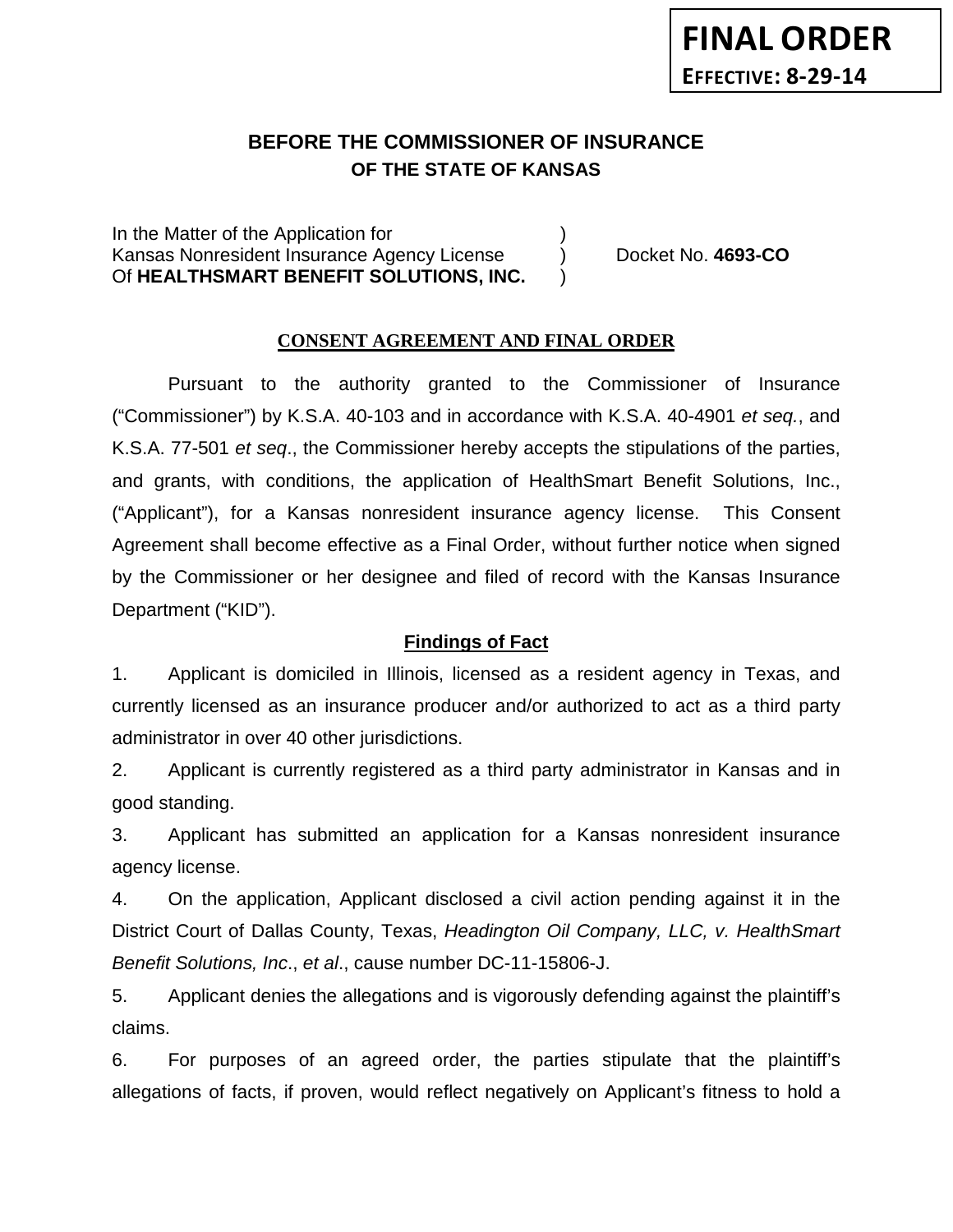# **BEFORE THE COMMISSIONER OF INSURANCE OF THE STATE OF KANSAS**

In the Matter of the Application for Kansas Nonresident Insurance Agency License (a) Docket No. 4693-CO Of **HEALTHSMART BENEFIT SOLUTIONS, INC.** )

#### **CONSENT AGREEMENT AND FINAL ORDER**

Pursuant to the authority granted to the Commissioner of Insurance ("Commissioner") by K.S.A. 40-103 and in accordance with K.S.A. 40-4901 *et seq.*, and K.S.A. 77-501 *et seq*., the Commissioner hereby accepts the stipulations of the parties, and grants, with conditions, the application of HealthSmart Benefit Solutions, Inc., ("Applicant"), for a Kansas nonresident insurance agency license. This Consent Agreement shall become effective as a Final Order, without further notice when signed by the Commissioner or her designee and filed of record with the Kansas Insurance Department ("KID").

#### **Findings of Fact**

1. Applicant is domiciled in Illinois, licensed as a resident agency in Texas, and currently licensed as an insurance producer and/or authorized to act as a third party administrator in over 40 other jurisdictions.

2. Applicant is currently registered as a third party administrator in Kansas and in good standing.

3. Applicant has submitted an application for a Kansas nonresident insurance agency license.

4. On the application, Applicant disclosed a civil action pending against it in the District Court of Dallas County, Texas, *Headington Oil Company, LLC, v. HealthSmart Benefit Solutions, Inc*., *et al*., cause number DC-11-15806-J.

5. Applicant denies the allegations and is vigorously defending against the plaintiff's claims.

6. For purposes of an agreed order, the parties stipulate that the plaintiff's allegations of facts, if proven, would reflect negatively on Applicant's fitness to hold a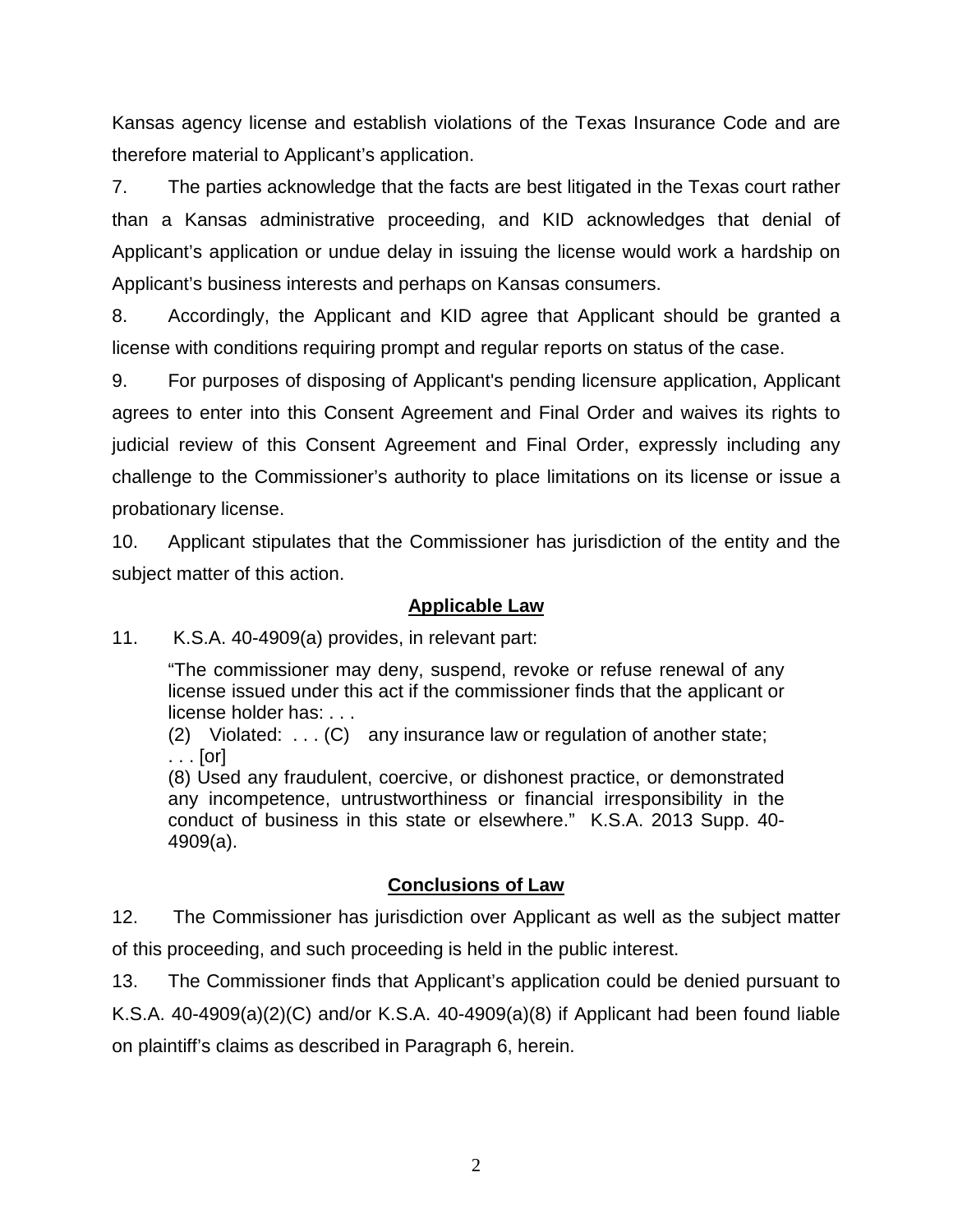Kansas agency license and establish violations of the Texas Insurance Code and are therefore material to Applicant's application.

7. The parties acknowledge that the facts are best litigated in the Texas court rather than a Kansas administrative proceeding, and KID acknowledges that denial of Applicant's application or undue delay in issuing the license would work a hardship on Applicant's business interests and perhaps on Kansas consumers.

8. Accordingly, the Applicant and KID agree that Applicant should be granted a license with conditions requiring prompt and regular reports on status of the case.

9. For purposes of disposing of Applicant's pending licensure application, Applicant agrees to enter into this Consent Agreement and Final Order and waives its rights to judicial review of this Consent Agreement and Final Order, expressly including any challenge to the Commissioner's authority to place limitations on its license or issue a probationary license.

10. Applicant stipulates that the Commissioner has jurisdiction of the entity and the subject matter of this action.

### **Applicable Law**

11. K.S.A. 40-4909(a) provides, in relevant part:

"The commissioner may deny, suspend, revoke or refuse renewal of any license issued under this act if the commissioner finds that the applicant or license holder has: . . .

(2) Violated: . . . (C) any insurance law or regulation of another state; . . . [or]

(8) Used any fraudulent, coercive, or dishonest practice, or demonstrated any incompetence, untrustworthiness or financial irresponsibility in the conduct of business in this state or elsewhere." K.S.A. 2013 Supp. 40- 4909(a).

### **Conclusions of Law**

12. The Commissioner has jurisdiction over Applicant as well as the subject matter of this proceeding, and such proceeding is held in the public interest.

13. The Commissioner finds that Applicant's application could be denied pursuant to K.S.A. 40-4909(a)(2)(C) and/or K.S.A. 40-4909(a)(8) if Applicant had been found liable on plaintiff's claims as described in Paragraph 6, herein.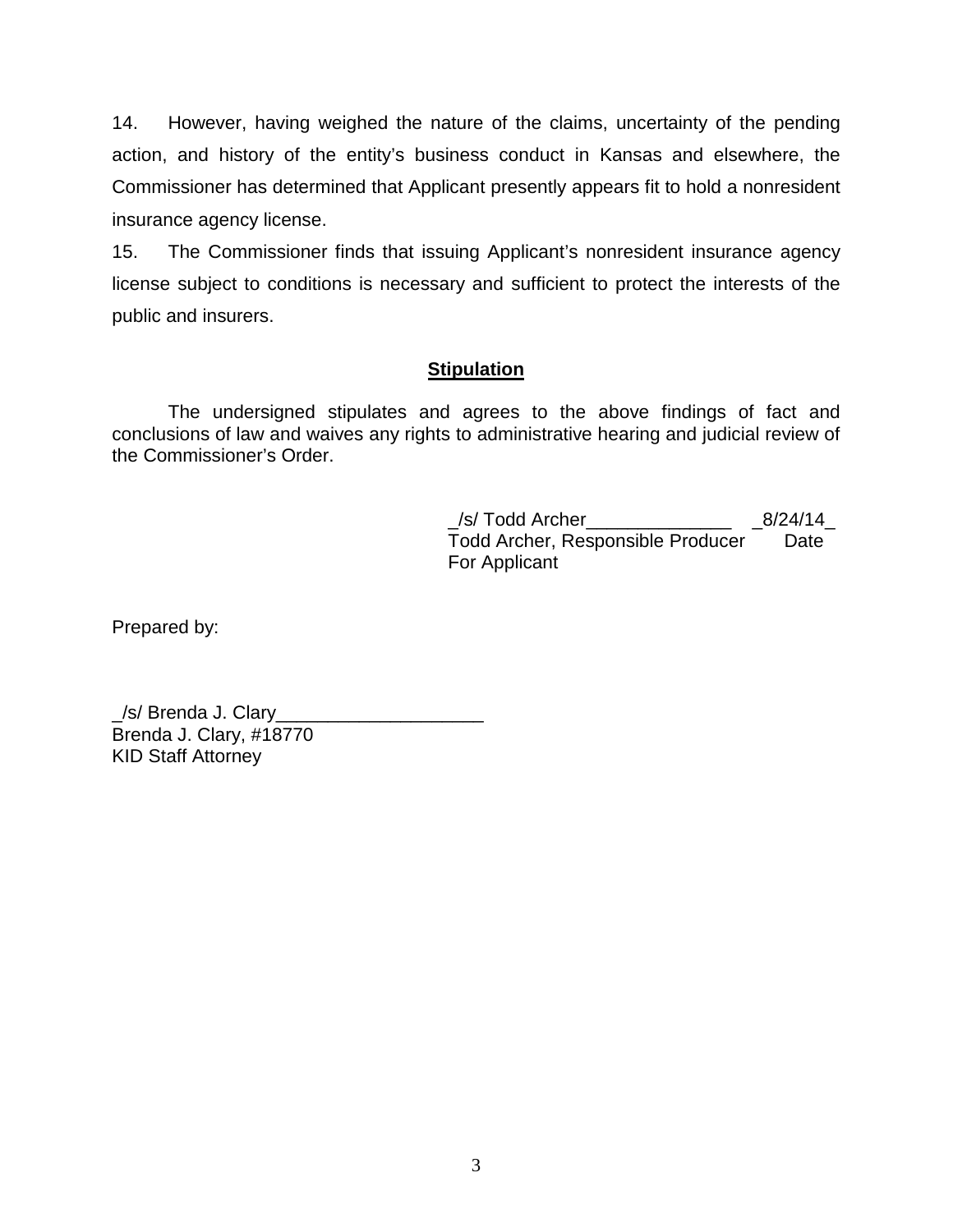14. However, having weighed the nature of the claims, uncertainty of the pending action, and history of the entity's business conduct in Kansas and elsewhere, the Commissioner has determined that Applicant presently appears fit to hold a nonresident insurance agency license.

15. The Commissioner finds that issuing Applicant's nonresident insurance agency license subject to conditions is necessary and sufficient to protect the interests of the public and insurers.

### **Stipulation**

The undersigned stipulates and agrees to the above findings of fact and conclusions of law and waives any rights to administrative hearing and judicial review of the Commissioner's Order.

> \_/s/ Todd Archer\_\_\_\_\_\_\_\_\_\_\_\_\_\_ \_8/24/14\_ Todd Archer, Responsible Producer Date For Applicant

Prepared by:

\_/s/ Brenda J. Clary\_\_\_\_\_\_\_\_\_\_\_\_\_\_\_\_\_\_\_\_ Brenda J. Clary, #18770 KID Staff Attorney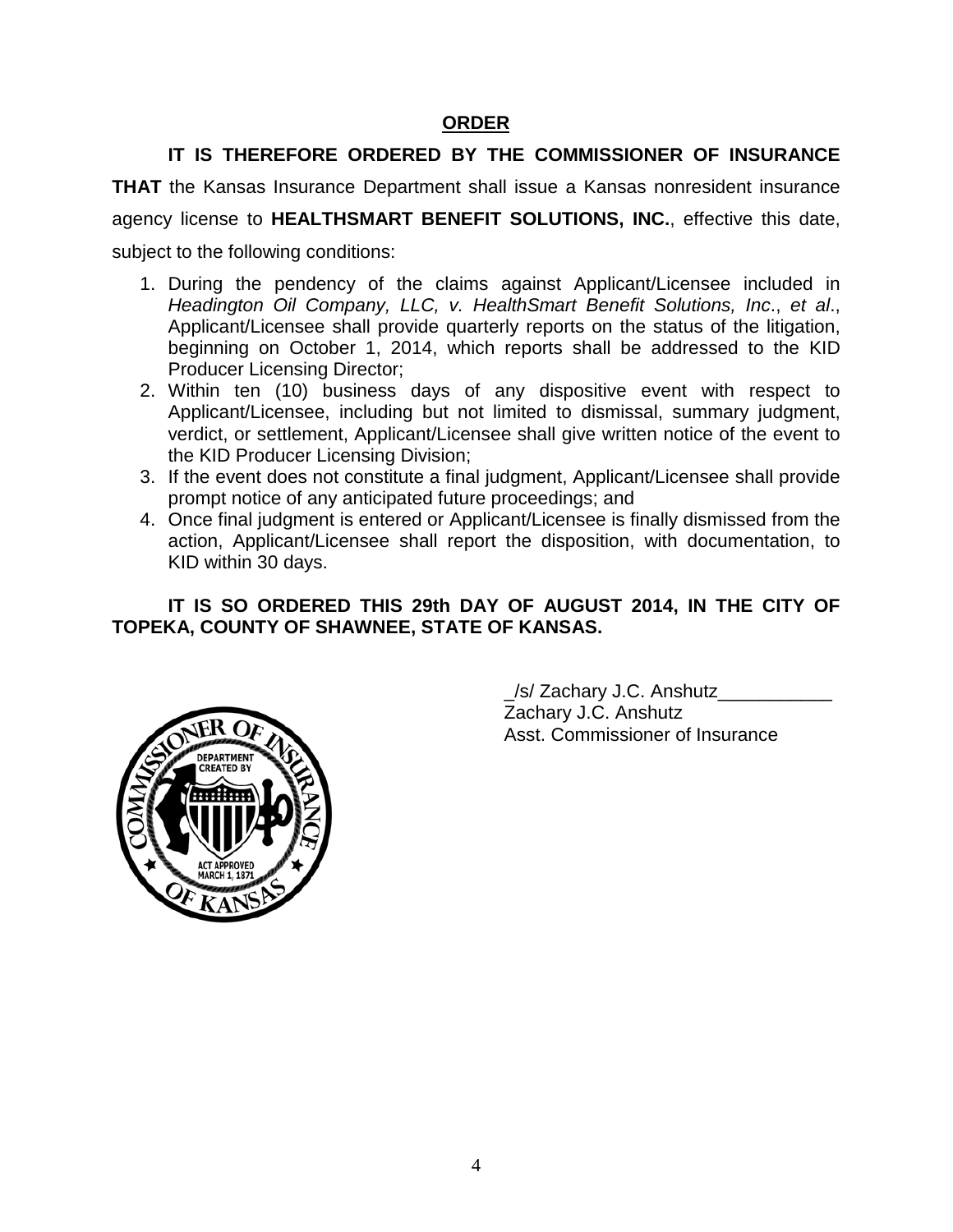### **ORDER**

## **IT IS THEREFORE ORDERED BY THE COMMISSIONER OF INSURANCE**

**THAT** the Kansas Insurance Department shall issue a Kansas nonresident insurance agency license to **HEALTHSMART BENEFIT SOLUTIONS, INC.**, effective this date, subject to the following conditions:

- 1. During the pendency of the claims against Applicant/Licensee included in *Headington Oil Company, LLC, v. HealthSmart Benefit Solutions, Inc*., *et al*., Applicant/Licensee shall provide quarterly reports on the status of the litigation, beginning on October 1, 2014, which reports shall be addressed to the KID Producer Licensing Director;
- 2. Within ten (10) business days of any dispositive event with respect to Applicant/Licensee, including but not limited to dismissal, summary judgment, verdict, or settlement, Applicant/Licensee shall give written notice of the event to the KID Producer Licensing Division;
- 3. If the event does not constitute a final judgment, Applicant/Licensee shall provide prompt notice of any anticipated future proceedings; and
- 4. Once final judgment is entered or Applicant/Licensee is finally dismissed from the action, Applicant/Licensee shall report the disposition, with documentation, to KID within 30 days.

### **IT IS SO ORDERED THIS 29th DAY OF AUGUST 2014, IN THE CITY OF TOPEKA, COUNTY OF SHAWNEE, STATE OF KANSAS.**



\_/s/ Zachary J.C. Anshutz\_\_\_\_\_\_\_\_\_\_\_ Zachary J.C. Anshutz Asst. Commissioner of Insurance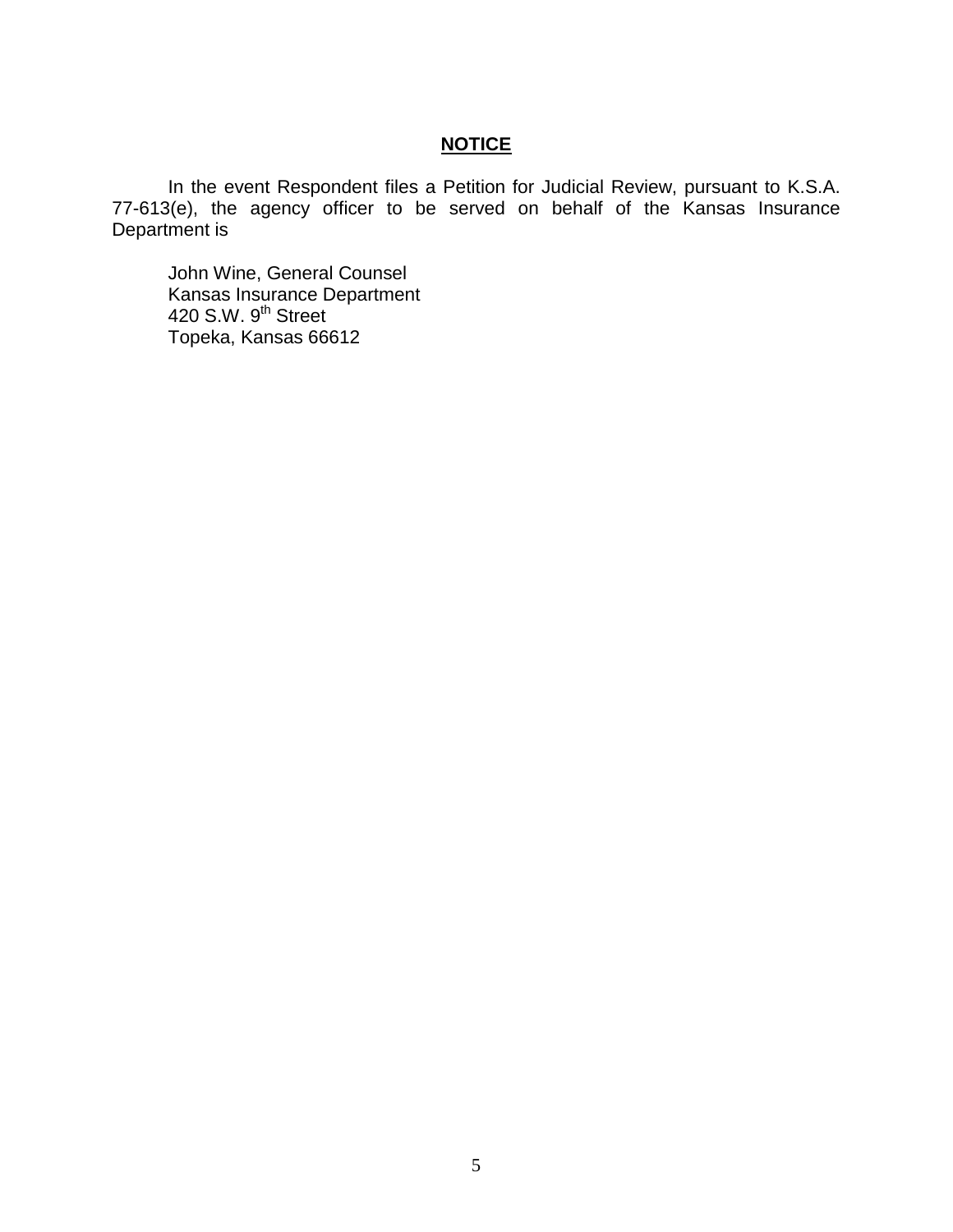#### **NOTICE**

In the event Respondent files a Petition for Judicial Review, pursuant to K.S.A. 77-613(e), the agency officer to be served on behalf of the Kansas Insurance Department is

John Wine, General Counsel Kansas Insurance Department 420 S.W. 9<sup>th</sup> Street Topeka, Kansas 66612